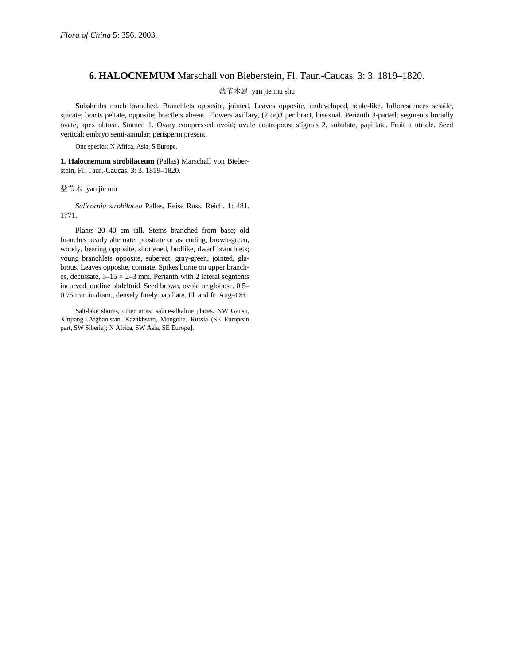## **6. HALOCNEMUM** Marschall von Bieberstein, Fl. Taur.-Caucas. 3: 3. 1819–1820.

## 盐节木属 yan jie mu shu

Subshrubs much branched. Branchlets opposite, jointed. Leaves opposite, undeveloped, scale-like. Inflorescences sessile, spicate; bracts peltate, opposite; bractlets absent. Flowers axillary, (2 or)3 per bract, bisexual. Perianth 3-parted; segments broadly ovate, apex obtuse. Stamen 1. Ovary compressed ovoid; ovule anatropous; stigmas 2, subulate, papillate. Fruit a utricle. Seed vertical; embryo semi-annular; perisperm present.

One species: N Africa, Asia, S Europe.

**1. Halocnemum strobilaceum** (Pallas) Marschall von Bieberstein, Fl. Taur.-Caucas. 3: 3. 1819–1820.

## 盐节木 yan jie mu

*Salicornia strobilacea* Pallas, Reise Russ. Reich. 1: 481. 1771.

Plants 20–40 cm tall. Stems branched from base; old branches nearly alternate, prostrate or ascending, brown-green, woody, bearing opposite, shortened, budlike, dwarf branchlets; young branchlets opposite, suberect, gray-green, jointed, glabrous. Leaves opposite, connate. Spikes borne on upper branches, decussate,  $5-15 \times 2-3$  mm. Perianth with 2 lateral segments incurved, outline obdeltoid. Seed brown, ovoid or globose, 0.5– 0.75 mm in diam., densely finely papillate. Fl. and fr. Aug–Oct.

Salt-lake shores, other moist saline-alkaline places. NW Gansu, Xinjiang [Afghanistan, Kazakhstan, Mongolia, Russia (SE European part, SW Siberia); N Africa, SW Asia, SE Europe].